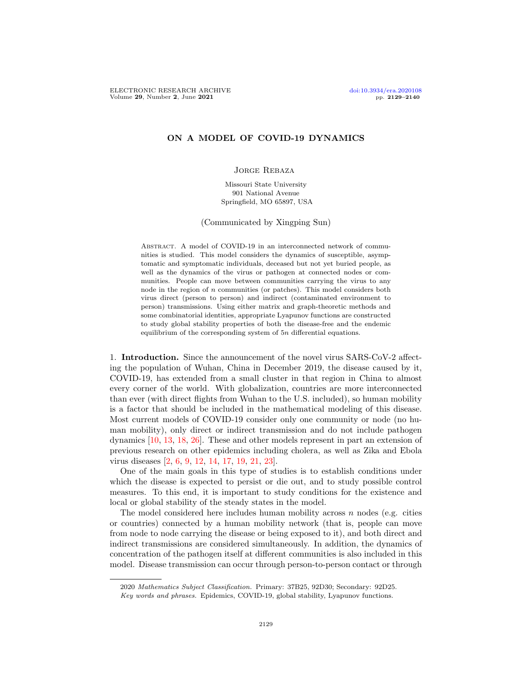# ON A MODEL OF COVID-19 DYNAMICS

### Jorge Rebaza

Missouri State University 901 National Avenue Springfield, MO 65897, USA

(Communicated by Xingping Sun)

ABSTRACT. A model of COVID-19 in an interconnected network of communities is studied. This model considers the dynamics of susceptible, asymptomatic and symptomatic individuals, deceased but not yet buried people, as well as the dynamics of the virus or pathogen at connected nodes or communities. People can move between communities carrying the virus to any node in the region of  $n$  communities (or patches). This model considers both virus direct (person to person) and indirect (contaminated environment to person) transmissions. Using either matrix and graph-theoretic methods and some combinatorial identities, appropriate Lyapunov functions are constructed to study global stability properties of both the disease-free and the endemic equilibrium of the corresponding system of 5n differential equations.

1. Introduction. Since the announcement of the novel virus SARS-CoV-2 affecting the population of Wuhan, China in December 2019, the disease caused by it, COVID-19, has extended from a small cluster in that region in China to almost every corner of the world. With globalization, countries are more interconnected than ever (with direct flights from Wuhan to the U.S. included), so human mobility is a factor that should be included in the mathematical modeling of this disease. Most current models of COVID-19 consider only one community or node (no human mobility), only direct or indirect transmission and do not include pathogen dynamics [\[10,](#page-11-0) [13,](#page-11-1) [18,](#page-11-2) [26\]](#page-11-3). These and other models represent in part an extension of previous research on other epidemics including cholera, as well as Zika and Ebola virus diseases [\[2,](#page-10-0) [6,](#page-10-1) [9,](#page-11-4) [12,](#page-11-5) [14,](#page-11-6) [17,](#page-11-7) [19,](#page-11-8) [21,](#page-11-9) [23\]](#page-11-10).

One of the main goals in this type of studies is to establish conditions under which the disease is expected to persist or die out, and to study possible control measures. To this end, it is important to study conditions for the existence and local or global stability of the steady states in the model.

The model considered here includes human mobility across  $n$  nodes (e.g. cities or countries) connected by a human mobility network (that is, people can move from node to node carrying the disease or being exposed to it), and both direct and indirect transmissions are considered simultaneously. In addition, the dynamics of concentration of the pathogen itself at different communities is also included in this model. Disease transmission can occur through person-to-person contact or through

<sup>2020</sup> Mathematics Subject Classification. Primary: 37B25, 92D30; Secondary: 92D25.

Key words and phrases. Epidemics, COVID-19, global stability, Lyapunov functions.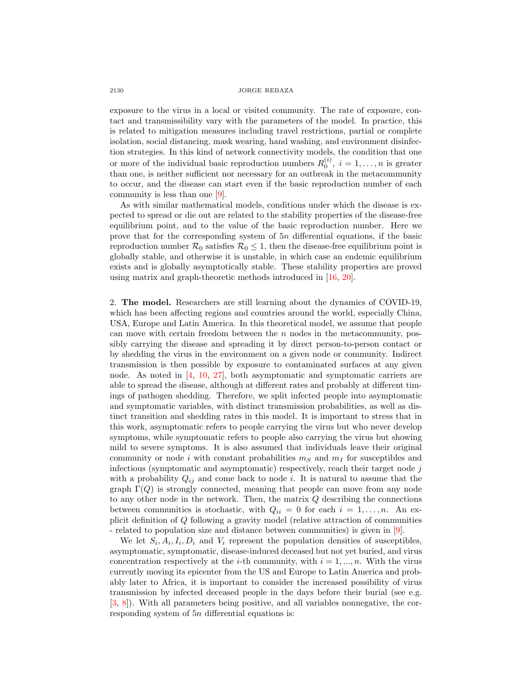## 2130 JORGE REBAZA

exposure to the virus in a local or visited community. The rate of exposure, contact and transmissibility vary with the parameters of the model. In practice, this is related to mitigation measures including travel restrictions, partial or complete isolation, social distancing, mask wearing, hand washing, and environment disinfection strategies. In this kind of network connectivity models, the condition that one or more of the individual basic reproduction numbers  $R_0^{(i)}$ ,  $i = 1, \ldots, n$  is greater than one, is neither sufficient nor necessary for an outbreak in the metacommunity to occur, and the disease can start even if the basic reproduction number of each community is less than one [\[9\]](#page-11-4).

As with similar mathematical models, conditions under which the disease is expected to spread or die out are related to the stability properties of the disease-free equilibrium point, and to the value of the basic reproduction number. Here we prove that for the corresponding system of 5n differential equations, if the basic reproduction number  $\mathcal{R}_0$  satisfies  $\mathcal{R}_0 \leq 1$ , then the disease-free equilibrium point is globally stable, and otherwise it is unstable, in which case an endemic equilibrium exists and is globally asymptotically stable. These stability properties are proved using matrix and graph-theoretic methods introduced in [\[16,](#page-11-11) [20\]](#page-11-12).

2. The model. Researchers are still learning about the dynamics of COVID-19, which has been affecting regions and countries around the world, especially China, USA, Europe and Latin America. In this theoretical model, we assume that people can move with certain freedom between the  $n$  nodes in the metacommunity, possibly carrying the disease and spreading it by direct person-to-person contact or by shedding the virus in the environment on a given node or community. Indirect transmission is then possible by exposure to contaminated surfaces at any given node. As noted in  $[4, 10, 27]$  $[4, 10, 27]$  $[4, 10, 27]$  $[4, 10, 27]$ , both asymptomatic and symptomatic carriers are able to spread the disease, although at different rates and probably at different timings of pathogen shedding. Therefore, we split infected people into asymptomatic and symptomatic variables, with distinct transmission probabilities, as well as distinct transition and shedding rates in this model. It is important to stress that in this work, asymptomatic refers to people carrying the virus but who never develop symptoms, while symptomatic refers to people also carrying the virus but showing mild to severe symptoms. It is also assumed that individuals leave their original community or node i with constant probabilities  $m<sub>S</sub>$  and  $m<sub>I</sub>$  for susceptibles and infectious (symptomatic and asymptomatic) respectively, reach their target node  $j$ with a probability  $Q_{ij}$  and come back to node i. It is natural to assume that the graph  $\Gamma(Q)$  is strongly connected, meaning that people can move from any node to any other node in the network. Then, the matrix  $Q$  describing the connections between communities is stochastic, with  $Q_{ii} = 0$  for each  $i = 1, \ldots, n$ . An explicit definition of Q following a gravity model (relative attraction of communities - related to population size and distance between communities) is given in [\[9\]](#page-11-4).

We let  $S_i$ ,  $A_i$ ,  $I_i$ ,  $D_i$  and  $V_i$  represent the population densities of susceptibles, asymptomatic, symptomatic, disease-induced deceased but not yet buried, and virus concentration respectively at the *i*-th community, with  $i = 1, ..., n$ . With the virus currently moving its epicenter from the US and Europe to Latin America and probably later to Africa, it is important to consider the increased possibility of virus transmission by infected deceased people in the days before their burial (see e.g. [\[3,](#page-10-3) [8\]](#page-10-4)). With all parameters being positive, and all variables nonnegative, the corresponding system of 5n differential equations is: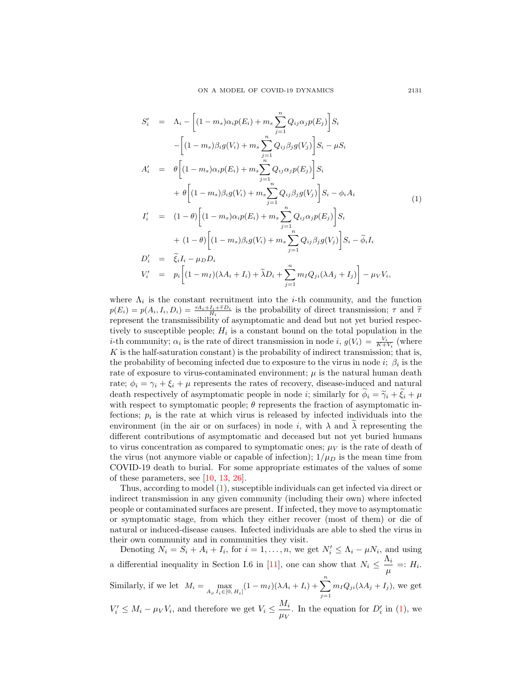<span id="page-2-0"></span>
$$
S'_{i} = \Lambda_{i} - \left[ (1 - m_{s}) \alpha_{i} p(E_{i}) + m_{s} \sum_{j=1}^{n} Q_{ij} \alpha_{j} p(E_{j}) \right] S_{i}
$$
  
\n
$$
- \left[ (1 - m_{s}) \beta_{i} g(V_{i}) + m_{s} \sum_{j=1}^{n} Q_{ij} \beta_{j} g(V_{j}) \right] S_{i} - \mu S_{i}
$$
  
\n
$$
A'_{i} = \theta \left[ (1 - m_{s}) \alpha_{i} p(E_{i}) + m_{s} \sum_{j=1}^{n} Q_{ij} \alpha_{j} p(E_{j}) \right] S_{i}
$$
  
\n
$$
+ \theta \left[ (1 - m_{s}) \beta_{i} g(V_{i}) + m_{s} \sum_{j=1}^{n} Q_{ij} \beta_{j} g(V_{j}) \right] S_{i} - \phi_{i} A_{i}
$$
  
\n
$$
I'_{i} = (1 - \theta) \left[ (1 - m_{s}) \alpha_{i} p(E_{i}) + m_{s} \sum_{j=1}^{n} Q_{ij} \alpha_{j} p(E_{j}) \right] S_{i}
$$
  
\n
$$
+ (1 - \theta) \left[ (1 - m_{s}) \beta_{i} g(V_{i}) + m_{s} \sum_{j=1}^{n} Q_{ij} \beta_{j} g(V_{j}) \right] S_{i} - \tilde{\phi}_{i} I_{i}
$$
  
\n
$$
D'_{i} = \tilde{\xi}_{i} I_{i} - \mu_{D} D_{i}
$$
  
\n
$$
V'_{i} = p_{i} \left[ (1 - m_{I})(\lambda A_{i} + I_{i}) + \tilde{\lambda} D_{i} + \sum_{j=1}^{n} m_{I} Q_{ji} (\lambda A_{j} + I_{j}) \right] - \mu_{V} V_{i},
$$

where  $\Lambda_i$  is the constant recruitment into the *i*-th community, and the function  $p(E_i) = p(A_i, I_i, D_i) = \frac{\tau A_i + I_i + \tilde{\tau} D_i}{H_i}$  is the probability of direct transmission;  $\tau$  and  $\tilde{\tau}$ <br>represent the transmissibility of asymptomatic and doed but not yet buried represe. represent the transmissibility of asymptomatic and dead but not yet buried respectively to susceptible people;  $H_i$  is a constant bound on the total population in the *i*-th community;  $\alpha_i$  is the rate of direct transmission in node *i*,  $g(V_i) = \frac{V_i}{K + V_i}$  (where  $K$  is the half-saturation constant) is the probability of indirect transmission; that is, the probability of becoming infected due to exposure to the virus in node  $i; \beta_i$  is the rate of exposure to virus-contaminated environment;  $\mu$  is the natural human death rate;  $\phi_i = \gamma_i + \xi_i + \mu$  represents the rates of recovery, disease-induced and natural death respectively of asymptomatic people in node *i*; similarly for  $\phi_i = \tilde{\gamma}_i + \tilde{\xi}_i + \mu$ with respect to symptomatic people;  $\theta$  represents the fraction of asymptomatic infections;  $p_i$  is the rate at which virus is released by infected individuals into the environment (in the air or on surfaces) in node i, with  $\lambda$  and  $\overline{\lambda}$  representing the different contributions of asymptomatic and deceased but not yet buried humans to virus concentration as compared to symptomatic ones;  $\mu_V$  is the rate of death of the virus (not anymore viable or capable of infection);  $1/\mu_D$  is the mean time from COVID-19 death to burial. For some appropriate estimates of the values of some of these parameters, see [\[10,](#page-11-0) [13,](#page-11-1) [26\]](#page-11-3).

Thus, according to model [\(1\)](#page-2-0), susceptible individuals can get infected via direct or indirect transmission in any given community (including their own) where infected people or contaminated surfaces are present. If infected, they move to asymptomatic or symptomatic stage, from which they either recover (most of them) or die of natural or induced-disease causes. Infected individuals are able to shed the virus in their own community and in communities they visit.

Denoting  $N_i = S_i + A_i + I_i$ , for  $i = 1, ..., n$ , we get  $N'_i \leq \Lambda_i - \mu N_i$ , and using a differential inequality in Section I.6 in [\[11\]](#page-11-14), one can show that  $N_i \leq \frac{\Lambda_i}{\Lambda_i}$  $\frac{u_i}{\mu}=:H_i.$ Similarly, if we let  $M_i = \max_{A_i, I_i \in [0, H_i]} (1 - m_I)(\lambda A_i + I_i) + \sum_{i=1}^n$  $j=1$  $m_I Q_{ji}(\lambda A_j + I_j)$ , we get  $V_i' \leq M_i - \mu_V V_i$ , and therefore we get  $V_i \leq \frac{M_i}{\mu_V}$  $\frac{M_i}{\mu_V}$ . In the equation for  $D'_i$  in [\(1\)](#page-2-0), we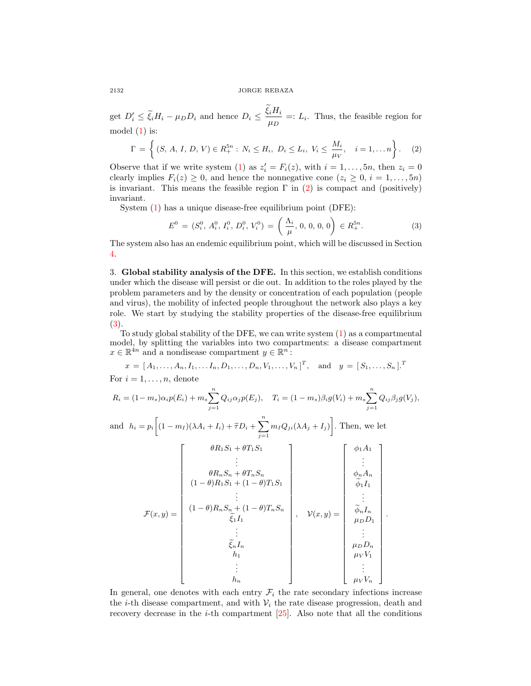2132 JORGE REBAZA

get  $D_i' \leq \tilde{\xi}_i H_i - \mu_D D_i$  and hence  $D_i \leq \frac{\xi_i H_i}{\mu_D}$  $\frac{u^{i+1}}{\mu_D}$  =:  $L_i$ . Thus, the feasible region for model [\(1\)](#page-2-0) is:

<span id="page-3-0"></span>
$$
\Gamma = \left\{ (S, A, I, D, V) \in R_+^{5n} : N_i \le H_i, D_i \le L_i, V_i \le \frac{M_i}{\mu_V}, i = 1, ..., n \right\}.
$$
 (2)

Observe that if we write system [\(1\)](#page-2-0) as  $z'_{i} = F_{i}(z)$ , with  $i = 1, ..., 5n$ , then  $z_{i} = 0$ clearly implies  $F_i(z) \geq 0$ , and hence the nonnegative cone  $(z_i \geq 0, i = 1, \ldots, 5n)$ is invariant. This means the feasible region  $\Gamma$  in [\(2\)](#page-3-0) is compact and (positively) invariant.

System [\(1\)](#page-2-0) has a unique disease-free equilibrium point (DFE):

<span id="page-3-1"></span>
$$
E^{0} = (S_{i}^{0}, A_{i}^{0}, I_{i}^{0}, D_{i}^{0}, V_{i}^{0}) = \left(\frac{\Lambda_{i}}{\mu}, 0, 0, 0, 0\right) \in R_{+}^{5n}.
$$
 (3)

The system also has an endemic equilibrium point, which will be discussed in Section [4.](#page-5-0)

<span id="page-3-2"></span>3. Global stability analysis of the DFE. In this section, we establish conditions under which the disease will persist or die out. In addition to the roles played by the problem parameters and by the density or concentration of each population (people and virus), the mobility of infected people throughout the network also plays a key role. We start by studying the stability properties of the disease-free equilibrium [\(3\)](#page-3-1).

To study global stability of the DFE, we can write system [\(1\)](#page-2-0) as a compartmental model, by splitting the variables into two compartments: a disease compartment  $x \in \mathbb{R}^{4n}$  and a nondisease compartment  $y \in \mathbb{R}^{n}$ :

$$
x = [A_1, ..., A_n, I_1, ..., I_n, D_1, ..., D_n, V_1, ..., V_n]^T, \text{ and } y = [S_1, ..., S_n]^T
$$
  
For  $i = 1, ..., n$ , denote  

$$
R_i = (1 - m_s)\alpha_i p(E_i) + m_s \sum_{j=1}^n Q_{ij} \alpha_j p(E_j), \quad T_i = (1 - m_s)\beta_i g(V_i) + m_s \sum_{j=1}^n Q_{ij} \beta_j g(V_j),
$$

and  $h_i = p_i \left[ (1 - m_I)(\lambda A_i + I_i) + \tilde{\tau} D_i + \right]$  $\sum_{n=1}^{\infty}$  $j=1$  $m_I Q_{ji} (\lambda A_j + I_j)$ . Then, we let

$$
\mathcal{F}(x,y) = \begin{bmatrix}\n\theta R_1 S_1 + \theta T_1 S_1 \\
\vdots \\
\theta R_n S_n + \theta T_n S_n \\
(1-\theta) R_1 S_1 + (1-\theta) T_1 S_1 \\
\vdots \\
\theta R_n S_n + (1-\theta) T_n S_n \\
\vdots \\
\theta R_n S_n + (1-\theta) T_n S_n \\
\vdots \\
\theta R_n I_n \\
\vdots \\
\theta R_n I_n \\
\vdots \\
\theta R_n I_n \\
\vdots \\
\theta R_n I_n \\
\vdots \\
\theta R_n I_n \\
\vdots \\
\theta R_n I_n \\
\vdots \\
\theta R_n I_n \\
\vdots \\
\theta R_n I_n \\
\vdots \\
\theta N V_1 \\
\vdots \\
\theta N V_1 \\
\vdots \\
\theta N V_1 \\
\vdots \\
\theta N V_1 \\
\vdots \\
\theta N V_1 \\
\vdots \\
\theta N V_2\n\end{bmatrix}
$$

.

In general, one denotes with each entry  $\mathcal{F}_i$  the rate secondary infections increase the *i*-th disease compartment, and with  $V_i$  the rate disease progression, death and recovery decrease in the  $i$ -th compartment  $[25]$ . Also note that all the conditions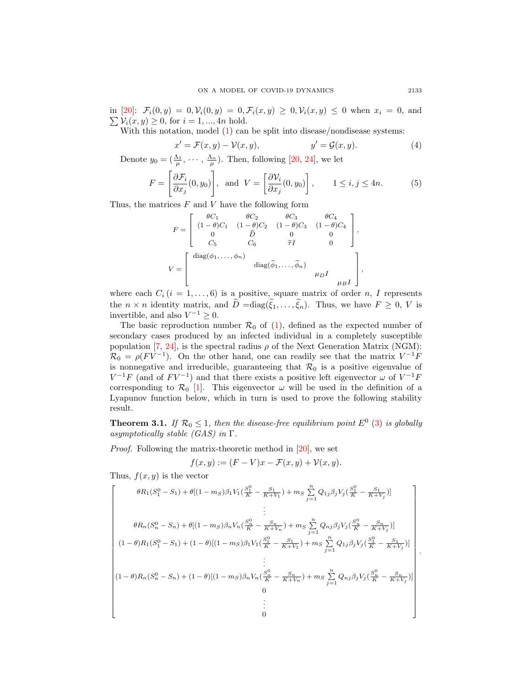$\sum V_i(x, y) \geq 0$ , for  $i = 1, ..., 4n$  hold. in [\[20\]](#page-11-12):  $\mathcal{F}_i(0, y) = 0, \mathcal{V}_i(0, y) = 0, \mathcal{F}_i(x, y) \geq 0, \mathcal{V}_i(x, y) \leq 0$  when  $x_i = 0$ , and

With this notation, model [\(1\)](#page-2-0) can be split into disease/nondisease systems:

$$
x' = \mathcal{F}(x, y) - \mathcal{V}(x, y), \qquad y' = \mathcal{G}(x, y). \tag{4}
$$

Denote  $y_0 = (\frac{\Lambda_1}{\mu}, \cdots, \frac{\Lambda_n}{\mu}).$  Then, following [\[20,](#page-11-12) [24\]](#page-11-16), we let

$$
F = \left[\frac{\partial \mathcal{F}_i}{\partial x_j}(0, y_0)\right], \text{ and } V = \left[\frac{\partial V_i}{\partial x_j}(0, y_0)\right], \qquad 1 \le i, j \le 4n. \tag{5}
$$

Thus, the matrices  $F$  and  $V$  have the following form

$$
F = \begin{bmatrix} \theta C_1 & \theta C_2 & \theta C_3 & \theta C_4 \\ (1 - \theta)C_1 & (1 - \theta)C_2 & (1 - \theta)C_3 & (1 - \theta)C_4 \\ 0 & \tilde{D} & 0 & 0 \\ C_5 & C_6 & \tilde{\tau}I & 0 \end{bmatrix},
$$

$$
V = \begin{bmatrix} \text{diag}(\phi_1, \dots, \phi_n) & \text{diag}(\tilde{\phi}_1, \dots, \tilde{\phi}_n) & \text{diag}I \\ & & \mu_D I & \mu_B I \end{bmatrix},
$$

where each  $C_i$  ( $i = 1, ..., 6$ ) is a positive, square matrix of order n, I represents the  $n \times n$  identity matrix, and  $\tilde{D} = diag(\tilde{\xi}_1, \ldots, \tilde{\xi}_n)$ . Thus, we have  $F \geq 0, V$  is invertible, and also  $V^{-1} \geq 0$ .

The basic reproduction number  $\mathcal{R}_0$  of [\(1\)](#page-2-0), defined as the expected number of secondary cases produced by an infected individual in a completely susceptible population [\[7,](#page-10-5) [24\]](#page-11-16), is the spectral radius  $\rho$  of the Next Generation Matrix (NGM):  $\mathcal{R}_0 = \rho (F\dot{V}^{-1})$ . On the other hand, one can readily see that the matrix  $V^{-1}\dot{F}$ is nonnegative and irreducible, guaranteeing that  $\mathcal{R}_0$  is a positive eigenvalue of  $V^{-1}F$  (and of  $FV^{-1}$ ) and that there exists a positive left eigenvector  $\omega$  of  $V^{-1}F$ corresponding to  $\mathcal{R}_0$  [\[1\]](#page-10-6). This eigenvector  $\omega$  will be used in the definition of a Lyapunov function below, which in turn is used to prove the following stability result.

<span id="page-4-0"></span>**Theorem 3.1.** If  $\mathcal{R}_0 \leq 1$ , then the disease-free equilibrium point  $E^0$  [\(3\)](#page-3-1) is globally asymptotically stable  $(GAS)$  in  $\Gamma$ .

Proof. Following the matrix-theoretic method in [\[20\]](#page-11-12), we set

$$
f(x, y) := (F - V)x - \mathcal{F}(x, y) + \mathcal{V}(x, y).
$$

Thus,  $f(x, y)$  is the vector

$$
\begin{bmatrix}\n\theta R_1 (S_1^0 - S_1) + \theta [(1 - m_S)\beta_1 V_1 (\frac{S_1^0}{K} - \frac{S_1}{K + V_1}) + m_S \sum_{j=1}^n Q_{1j}\beta_j V_j (\frac{S_1^0}{K} - \frac{S_1}{K + V_j})] \\
\vdots \\
\theta R_n (S_n^0 - S_n) + \theta [(1 - m_S)\beta_n V_n (\frac{S_n^0}{K} - \frac{S_n}{K + V_n}) + m_S \sum_{j=1}^n Q_{nj}\beta_j V_j (\frac{S_n^0}{K} - \frac{S_n}{K + V_j})] \\
(1 - \theta) R_1 (S_1^0 - S_1) + (1 - \theta) [(1 - m_S)\beta_1 V_1 (\frac{S_1^0}{K} - \frac{S_1}{K + V_1}) + m_S \sum_{j=1}^n Q_{1j}\beta_j V_j (\frac{S_1^0}{K} - \frac{S_1}{K + V_j})] \\
\vdots \\
(1 - \theta) R_n (S_n^0 - S_n) + (1 - \theta) [(1 - m_S)\beta_n V_n (\frac{S_n^0}{K} - \frac{S_n}{K + V_n}) + m_S \sum_{j=1}^n Q_{nj}\beta_j V_j (\frac{S_n^0}{K} - \frac{S_n}{K + V_j})] \\
0 \\
\vdots \\
0\n\end{bmatrix}
$$

.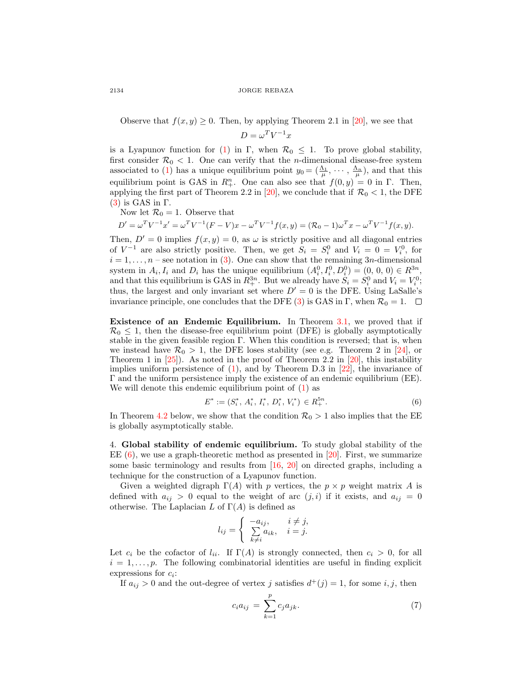Observe that  $f(x, y) \geq 0$ . Then, by applying Theorem 2.1 in [\[20\]](#page-11-12), we see that

$$
D = \omega^T V^{-1} x
$$

is a Lyapunov function for [\(1\)](#page-2-0) in Γ, when  $\mathcal{R}_0 \leq 1$ . To prove global stability, first consider  $\mathcal{R}_0$  < 1. One can verify that the *n*-dimensional disease-free system associated to [\(1\)](#page-2-0) has a unique equilibrium point  $y_0 = (\frac{\Lambda_1}{\mu}, \cdots, \frac{\Lambda_n}{\mu})$ , and that this equilibrium point is GAS in  $R^n_+$ . One can also see that  $f(0, y) = 0$  in  $\Gamma$ . Then, applying the first part of Theorem 2.2 in [\[20\]](#page-11-12), we conclude that if  $\mathcal{R}_0 < 1$ , the DFE [\(3\)](#page-3-1) is GAS in Γ.

Now let  $\mathcal{R}_0 = 1$ . Observe that

 $D' = \omega^T V^{-1} x' = \omega^T V^{-1} (F - V) x - \omega^T V^{-1} f(x, y) = (\mathcal{R}_0 - 1) \omega^T x - \omega^T V^{-1} f(x, y).$ 

Then,  $D' = 0$  implies  $f(x, y) = 0$ , as  $\omega$  is strictly positive and all diagonal entries of  $V^{-1}$  are also strictly positive. Then, we get  $S_i = S_i^0$  and  $V_i = 0 = V_i^0$ , for  $i = 1, \ldots, n$  – see notation in [\(3\)](#page-3-1). One can show that the remaining 3n-dimensional system in  $A_i, I_i$  and  $D_i$  has the unique equilibrium  $(A_i^0, I_i^0, D_i^0) = (0, 0, 0) \in R^{3n}$ , and that this equilibrium is GAS in  $R_+^{3n}$ . But we already have  $S_i = S_i^0$  and  $V_i = V_i^0$ ; thus, the largest and only invariant set where  $D' = 0$  is the DFE. Using LaSalle's invariance principle, one concludes that the DFE [\(3\)](#page-3-1) is GAS in  $\Gamma$ , when  $\mathcal{R}_0 = 1$ .  $\Box$ 

Existence of an Endemic Equilibrium. In Theorem [3.1,](#page-4-0) we proved that if  $\mathcal{R}_0 \leq 1$ , then the disease-free equilibrium point (DFE) is globally asymptotically stable in the given feasible region  $\Gamma$ . When this condition is reversed; that is, when we instead have  $\mathcal{R}_0 > 1$ , the DFE loses stability (see e.g. Theorem 2 in [\[24\]](#page-11-16), or Theorem 1 in  $[25]$ ). As noted in the proof of Theorem 2.2 in  $[20]$ , this instability implies uniform persistence of  $(1)$ , and by Theorem D.3 in  $[22]$ , the invariance of Γ and the uniform persistence imply the existence of an endemic equilibrium (EE). We will denote this endemic equilibrium point of  $(1)$  as

<span id="page-5-1"></span>
$$
E^* := (S_i^*, A_i^*, I_i^*, D_i^*, V_i^*) \in R_+^{5n}.
$$
\n
$$
(6)
$$

In Theorem [4.2](#page-6-0) below, we show that the condition  $\mathcal{R}_0 > 1$  also implies that the EE is globally asymptotically stable.

<span id="page-5-0"></span>4. Global stability of endemic equilibrium. To study global stability of the EE  $(6)$ , we use a graph-theoretic method as presented in [\[20\]](#page-11-12). First, we summarize some basic terminology and results from [\[16,](#page-11-11) [20\]](#page-11-12) on directed graphs, including a technique for the construction of a Lyapunov function.

Given a weighted digraph  $\Gamma(A)$  with p vertices, the  $p \times p$  weight matrix A is defined with  $a_{ij} > 0$  equal to the weight of arc  $(j, i)$  if it exists, and  $a_{ij} = 0$ otherwise. The Laplacian L of  $\Gamma(A)$  is defined as

$$
l_{ij} = \begin{cases} -a_{ij}, & i \neq j, \\ \sum_{k \neq i} a_{ik}, & i = j. \end{cases}
$$

Let  $c_i$  be the cofactor of  $l_{ii}$ . If  $\Gamma(A)$  is strongly connected, then  $c_i > 0$ , for all  $i = 1, \ldots, p$ . The following combinatorial identities are useful in finding explicit expressions for  $c_i$ :

If  $a_{ij} > 0$  and the out-degree of vertex j satisfies  $d^+(j) = 1$ , for some i, j, then

$$
c_i a_{ij} = \sum_{k=1}^{p} c_j a_{jk}.
$$
 (7)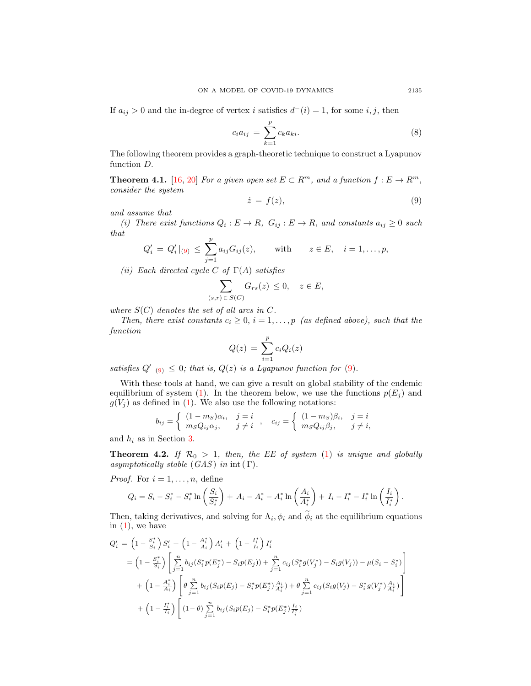If  $a_{ij} > 0$  and the in-degree of vertex i satisfies  $d^-(i) = 1$ , for some i, j, then

<span id="page-6-2"></span>
$$
c_i a_{ij} = \sum_{k=1}^{p} c_k a_{ki}.
$$
 (8)

The following theorem provides a graph-theoretic technique to construct a Lyapunov function D.

**Theorem 4.1.** [\[16,](#page-11-11) [20\]](#page-11-12) For a given open set  $E \subset R^m$ , and a function  $f : E \to R^m$ , consider the system

<span id="page-6-1"></span>
$$
\dot{z} = f(z),\tag{9}
$$

and assume that

(i) There exist functions  $Q_i : E \to R$ ,  $G_{ij} : E \to R$ , and constants  $a_{ij} \geq 0$  such that

$$
Q'_{i} = Q'_{i}|_{(9)} \le \sum_{j=1}^{p} a_{ij} G_{ij}(z),
$$
 with  $z \in E, i = 1,..., p,$ 

(ii) Each directed cycle C of  $\Gamma(A)$  satisfies

$$
\sum_{(s,r)\in S(C)} G_{rs}(z) \le 0, \quad z \in E,
$$

where  $S(C)$  denotes the set of all arcs in C.

Then, there exist constants  $c_i \geq 0$ ,  $i = 1, \ldots, p$  (as defined above), such that the function

$$
Q(z) = \sum_{i=1}^{p} c_i Q_i(z)
$$

satisfies  $Q' \mid_{(9)} \leq 0$  $Q' \mid_{(9)} \leq 0$  $Q' \mid_{(9)} \leq 0$ ; that is,  $Q(z)$  is a Lyapunov function for (9).

With these tools at hand, we can give a result on global stability of the endemic equilibrium of system [\(1\)](#page-2-0). In the theorem below, we use the functions  $p(E_i)$  and  $g(V_i)$  as defined in [\(1\)](#page-2-0). We also use the following notations:

$$
b_{ij} = \begin{cases} (1 - ms)\alpha_i, & j = i \\ msQ_{ij}\alpha_j, & j \neq i \end{cases}, \quad c_{ij} = \begin{cases} (1 - ms)\beta_i, & j = i \\ msQ_{ij}\beta_j, & j \neq i, \end{cases}
$$

and  $h_i$  as in Section [3.](#page-3-2)

<span id="page-6-0"></span>**Theorem 4.2.** If  $\mathcal{R}_0 > 1$ , then, the EE of system [\(1\)](#page-2-0) is unique and globally asymptotically stable  $(GAS)$  in int  $(\Gamma)$ .

*Proof.* For  $i = 1, \ldots, n$ , define

$$
Q_i = S_i - S_i^* - S_i^* \ln\left(\frac{S_i}{S_i^*}\right) + A_i - A_i^* - A_i^* \ln\left(\frac{A_i}{A_i^*}\right) + I_i - I_i^* - I_i^* \ln\left(\frac{I_i}{I_i^*}\right).
$$

Then, taking derivatives, and solving for  $\Lambda_i$ ,  $\phi_i$  and  $\phi_i$  at the equilibrium equations in  $(1)$ , we have

$$
Q'_{i} = \left(1 - \frac{S_{i}^{*}}{S_{i}}\right) S'_{i} + \left(1 - \frac{A_{i}^{*}}{A_{i}}\right) A'_{i} + \left(1 - \frac{I_{i}^{*}}{I_{i}}\right) I'_{i}
$$
  
\n
$$
= \left(1 - \frac{S_{i}^{*}}{S_{i}}\right) \left[\sum_{j=1}^{n} b_{ij} (S_{i}^{*} p(E_{j}^{*}) - S_{i} p(E_{j})) + \sum_{j=1}^{n} c_{ij} (S_{i}^{*} g(V_{j}^{*}) - S_{i} g(V_{j})) - \mu (S_{i} - S_{i}^{*})\right]
$$
  
\n
$$
+ \left(1 - \frac{A_{i}^{*}}{A_{i}}\right) \left[\theta \sum_{j=1}^{n} b_{ij} (S_{i} p(E_{j}) - S_{i}^{*} p(E_{j}^{*}) \frac{A_{i}}{A_{i}^{*}}) + \theta \sum_{j=1}^{n} c_{ij} (S_{i} g(V_{j}) - S_{i}^{*} g(V_{j}^{*}) \frac{A_{i}}{A_{i}^{*}})\right]
$$
  
\n
$$
+ \left(1 - \frac{I_{i}^{*}}{I_{i}}\right) \left[(1 - \theta) \sum_{j=1}^{n} b_{ij} (S_{i} p(E_{j}) - S_{i}^{*} p(E_{j}^{*}) \frac{I_{i}}{I_{i}^{*}})\right]
$$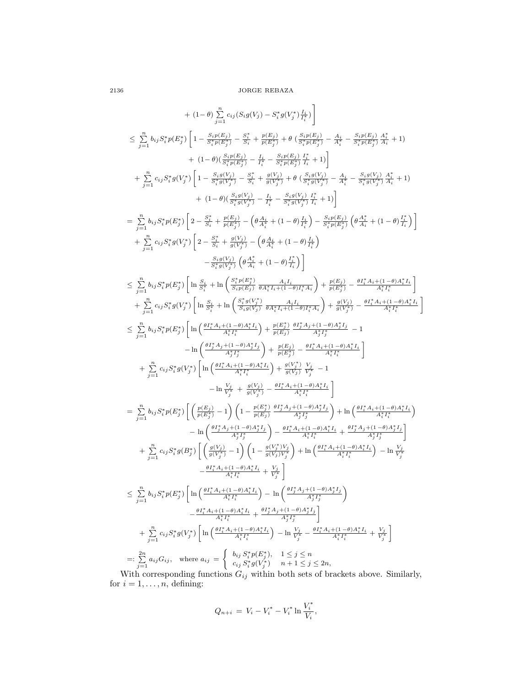$$
+ (1-\theta) \sum_{j=1}^{n} c_{ij} (S_{i}g(V_{j}) - S_{i}^{*}g(V_{j}^{*})\frac{I_{i}}{I_{i}^{*}}) \\ \leq \sum_{j=1}^{n} b_{ij} S_{i}^{*}p(E_{j}^{*}) \left[1 - \frac{S_{i}p(E_{j})}{S_{i}^{*}p(E_{j}^{*})} - \frac{S_{i}^{*}}{S_{i}^{*}p(E_{j}^{*})} + \theta \left( \frac{S_{i}p(E_{j})}{S_{i}^{*}p(E_{j}^{*})} - \frac{A_{i}}{A_{i}^{*}} - \frac{S_{i}p(E_{j})}{S_{i}^{*}p(E_{j}^{*})} \right) \frac{A_{i}}{A_{i}^{*}} - \frac{S_{i}p(E_{j})}{S_{i}^{*}p(E_{j}^{*})} \frac{A_{i}^{*}}{A_{i}^{*}} + 1) \\ + (1-\theta) \left( \frac{S_{i}p(E_{j})}{S_{i}^{*}p(E_{j}^{*})} - \frac{S_{i}^{*}}{S_{i}^{*}} + \frac{g(V_{j})}{S_{j}^{*}p(E_{j}^{*})} - \frac{A_{i}}{A_{i}^{*}} - \frac{S_{i}g(V_{j})}{S_{i}^{*}p(E_{j}^{*})} - \frac{A_{i}}{A_{i}^{*}} - \frac{S_{i}g(V_{j})}{S_{i}^{*}p(E_{j}^{*})} \frac{A_{i}}{A_{i}^{*}} + 1) \\ + (1-\theta) \left( \frac{S_{i}g(V_{j})}{S_{i}^{*}g(V_{j}^{*})} - \frac{S_{i}^{*}}{S_{i}^{*}} - \frac{G_{i}g(V_{j})}{S_{i}^{*}p(E_{j}^{*})} \frac{I_{i}}{I_{i}^{*}} + 1 \right) \\ = \sum_{j=1}^{n} b_{ij} S_{i}^{*}p(E_{j}^{*}) \left[ 2 - \frac{S_{i}^{*}}{S_{i}^{*}} + \frac{g(V_{j})}{p(E_{j}^{*})} - \left( \theta \frac{A_{i}}{A_{i}^{*}} + (1-\theta) \frac{I_{i}}{I_{i}^{*}} \right) - \frac{S_{i}p(E_{j})}{S_{i}^{*}p(E_{j}^{*
$$

for  $i = 1, \ldots, n$ , defining:

$$
Q_{n+i} = V_i - V_i^* - V_i^* \ln \frac{V_i^*}{V_i},
$$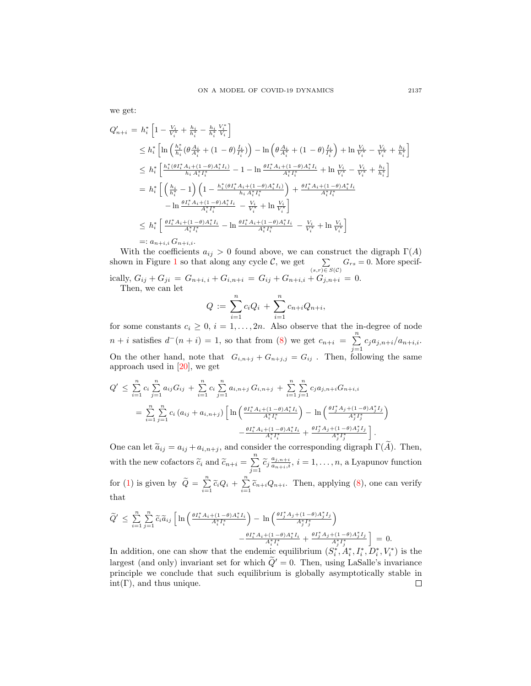we get:

$$
Q'_{n+i} = h_i^* \left[ 1 - \frac{V_i}{V_i^*} + \frac{h_i}{h_i^*} - \frac{h_i}{h_i^*} \frac{V_i^*}{V_i} \right]
$$
  
\n
$$
\leq h_i^* \left[ \ln \left( \frac{h_i^*}{h_i} (\theta \frac{A_i}{A_i^*} + (1 - \theta) \frac{I_i}{I_i^*}) \right) - \ln \left( \theta \frac{A_i}{A_i^*} + (1 - \theta) \frac{I_i}{I_i^*} \right) + \ln \frac{V_i}{V_i^*} - \frac{V_i}{V_i^*} + \frac{h_i}{h_i^*} \right]
$$
  
\n
$$
\leq h_i^* \left[ \frac{h_i^* (\theta I_i^* A_i + (1 - \theta) A_i^* I_i)}{h_i A_i^* I_i^*} - 1 - \ln \frac{\theta I_i^* A_i + (1 - \theta) A_i^* I_i}{A_i^* I_i^*} + \ln \frac{V_i}{V_i^*} - \frac{V_i}{V_i^*} + \frac{h_i}{h_i^*} \right]
$$
  
\n
$$
= h_i^* \left[ \left( \frac{h_i}{h_i^*} - 1 \right) \left( 1 - \frac{h_i^* (\theta I_i^* A_i + (1 - \theta) A_i^* I_i)}{h_i A_i^* I_i^*} \right) + \frac{\theta I_i^* A_i + (1 - \theta) A_i^* I_i}{A_i^* I_i^*} - \frac{V_i}{A_i^*} + \ln \frac{V_i}{V_i^*} \right]
$$
  
\n
$$
= h_i^* \left[ \frac{\theta I_i^* A_i + (1 - \theta) A_i^* I_i}{A_i^* I_i^*} - \frac{V_i}{V_i^*} + \ln \frac{V_i}{V_i^*} \right]
$$
  
\n
$$
\leq h_i^* \left[ \frac{\theta I_i^* A_i + (1 - \theta) A_i^* I_i}{A_i^* I_i^*} - \ln \frac{\theta I_i^* A_i + (1 - \theta) A_i^* I_i}{A_i^* I_i^*} - \frac{V_i}{V_i^*} + \ln \frac{V_i}{V_i^*} \right]
$$
  
\n
$$
=: a_{n+i,i} G_{n+i,i}.
$$

With the coefficients  $a_{ij} > 0$  found above, we can construct the digraph  $\Gamma(A)$ shown in Figure [1](#page-9-0) so that along any cycle C, we get  $\sum_{(s,r)\in S(\mathcal{C})} G_{rs} = 0$ . More specifically,  $G_{ij} + G_{ji} = G_{n+i, i} + G_{i, n+i} = G_{ij} + G_{n+i, i} + G_{j, n+i} = 0.$ 

Then, we can let

$$
Q := \sum_{i=1}^{n} c_i Q_i + \sum_{i=1}^{n} c_{n+i} Q_{n+i},
$$

for some constants  $c_i \geq 0$ ,  $i = 1, ..., 2n$ . Also observe that the in-degree of node  $n+i$  satisfies  $d^-(n+i) = 1$ , so that from [\(8\)](#page-6-2) we get  $c_{n+i} = \sum_{i=1}^{n}$  $\sum_{j=1} c_j a_{j,n+i}/a_{n+i,i}.$ On the other hand, note that  $G_{i,n+j} + G_{n+j,j} = G_{ij}$ . Then, following the same approach used in [\[20\]](#page-11-12), we get

$$
Q' \leq \sum_{i=1}^{n} c_i \sum_{j=1}^{n} a_{ij} G_{ij} + \sum_{i=1}^{n} c_i \sum_{j=1}^{n} a_{i,n+j} G_{i,n+j} + \sum_{i=1}^{n} \sum_{j=1}^{n} c_j a_{j,n+i} G_{n+i,i}
$$
  
= 
$$
\sum_{i=1}^{n} \sum_{j=1}^{n} c_i (a_{ij} + a_{i,n+j}) \left[ \ln \left( \frac{\theta I_i^* A_i + (1-\theta) A_i^* I_i}{A_i^* I_i^*} \right) - \ln \left( \frac{\theta I_j^* A_j + (1-\theta) A_j^* I_j}{A_j^* I_j^*} \right) \right. \\ - \frac{\theta I_i^* A_i + (1-\theta) A_i^* I_i}{A_i^* I_i^*} + \frac{\theta I_j^* A_j + (1-\theta) A_j^* I_j}{A_j^* I_j^*} \right].
$$

One can let  $\tilde{a}_{ij} = a_{ij} + a_{i,n+j}$ , and consider the corresponding digraph  $\Gamma(\tilde{A})$ . Then, with the new cofactors  $\widetilde{c}_i$  and  $\widetilde{c}_{n+i} = \sum_{i=1}^n$  $\sum_{j=1}^{\infty} \widetilde{c}_j \frac{a_{j,n+i}}{a_{n+i,i}}, i = 1, \ldots, n$ , a Lyapunov function for [\(1\)](#page-2-0) is given by  $\widetilde{Q} = \sum_{i=1}^{n} \widetilde{c}_i Q_i + \sum_{i=1}^{n} \widetilde{c}_{n+i} Q_{n+i}$ . Then, applying [\(8\)](#page-6-2), one can verify that

$$
\widetilde{Q}' \leq \sum_{i=1}^n \sum_{j=1}^n \widetilde{c}_i \widetilde{a}_{ij} \left[ \ln \left( \frac{\theta I_i^* A_i + (1-\theta) A_i^* I_i}{A_i^* I_i^*} \right) - \ln \left( \frac{\theta I_j^* A_j + (1-\theta) A_j^* I_j}{A_j^* I_j^*} \right) - \frac{\theta I_i^* A_i + (1-\theta) A_i^* I_i}{A_i^* I_i^*} + \frac{\theta I_j^* A_j + (1-\theta) A_j^* I_j}{A_j^* I_j^*} \right] = 0.
$$

In addition, one can show that the endemic equilibrium  $(S_i^*, A_i^*, I_i^*, D_i^*, V_i^*)$  is the largest (and only) invariant set for which  $\tilde{Q}'=0$ . Then, using LaSalle's invariance principle we conclude that such equilibrium is globally asymptotically stable in  $int(\Gamma)$ , and thus unique.  $\Box$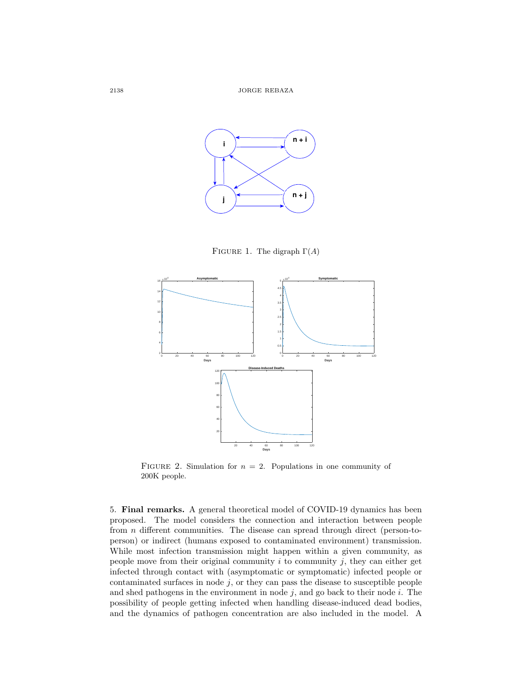

<span id="page-9-0"></span>FIGURE 1. The digraph  $\Gamma(A)$ 



FIGURE 2. Simulation for  $n = 2$ . Populations in one community of 200K people.

5. Final remarks. A general theoretical model of COVID-19 dynamics has been proposed. The model considers the connection and interaction between people from n different communities. The disease can spread through direct (person-toperson) or indirect (humans exposed to contaminated environment) transmission. While most infection transmission might happen within a given community, as people move from their original community  $i$  to community  $j$ , they can either get infected through contact with (asymptomatic or symptomatic) infected people or contaminated surfaces in node  $j$ , or they can pass the disease to susceptible people and shed pathogens in the environment in node  $j$ , and go back to their node  $i$ . The possibility of people getting infected when handling disease-induced dead bodies, and the dynamics of pathogen concentration are also included in the model. A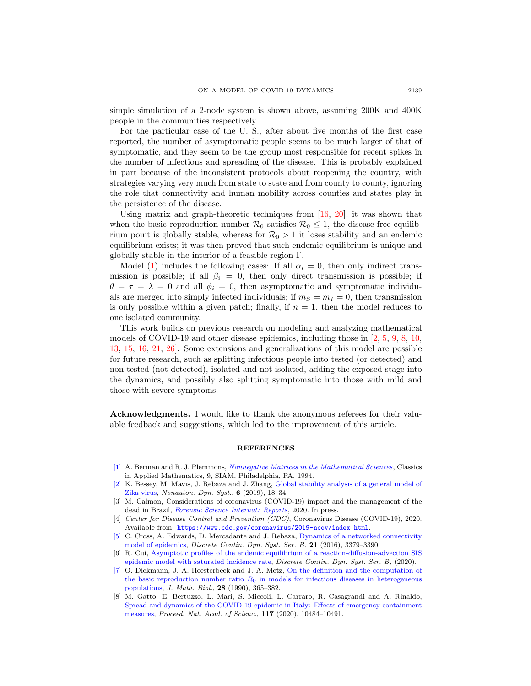simple simulation of a 2-node system is shown above, assuming 200K and 400K people in the communities respectively.

For the particular case of the U. S., after about five months of the first case reported, the number of asymptomatic people seems to be much larger of that of symptomatic, and they seem to be the group most responsible for recent spikes in the number of infections and spreading of the disease. This is probably explained in part because of the inconsistent protocols about reopening the country, with strategies varying very much from state to state and from county to county, ignoring the role that connectivity and human mobility across counties and states play in the persistence of the disease.

Using matrix and graph-theoretic techniques from [\[16,](#page-11-11) [20\]](#page-11-12), it was shown that when the basic reproduction number  $\mathcal{R}_0$  satisfies  $\mathcal{R}_0 \leq 1$ , the disease-free equilibrium point is globally stable, whereas for  $\mathcal{R}_0 > 1$  it loses stability and an endemic equilibrium exists; it was then proved that such endemic equilibrium is unique and globally stable in the interior of a feasible region Γ.

Model [\(1\)](#page-2-0) includes the following cases: If all  $\alpha_i = 0$ , then only indirect transmission is possible; if all  $\beta_i = 0$ , then only direct transmission is possible; if  $\theta = \tau = \lambda = 0$  and all  $\phi_i = 0$ , then asymptomatic and symptomatic individuals are merged into simply infected individuals; if  $m<sub>S</sub> = m<sub>I</sub> = 0$ , then transmission is only possible within a given patch; finally, if  $n = 1$ , then the model reduces to one isolated community.

This work builds on previous research on modeling and analyzing mathematical models of COVID-19 and other disease epidemics, including those in [\[2,](#page-10-0) [5,](#page-10-7) [9,](#page-11-4) [8,](#page-10-4) [10,](#page-11-0) [13,](#page-11-1) [15,](#page-11-18) [16,](#page-11-11) [21,](#page-11-9) [26\]](#page-11-3). Some extensions and generalizations of this model are possible for future research, such as splitting infectious people into tested (or detected) and non-tested (not detected), isolated and not isolated, adding the exposed stage into the dynamics, and possibly also splitting symptomatic into those with mild and those with severe symptoms.

Acknowledgments. I would like to thank the anonymous referees for their valuable feedback and suggestions, which led to the improvement of this article.

### **REFERENCES**

- <span id="page-10-6"></span>[\[1\]](http://www.ams.org/mathscinet-getitem?mr=MR1298430&return=pdf) A. Berman and R. J. Plemmons, *[Nonnegative Matrices in the Mathematical Sciences](http://dx.doi.org/10.1137/1.9781611971262)*, Classics in Applied Mathematics, 9, SIAM, Philadelphia, PA, 1994.
- <span id="page-10-0"></span>[\[2\]](http://www.ams.org/mathscinet-getitem?mr=MR3943355&return=pdf) K. Bessey, M. Mavis, J. Rebaza and J. Zhang, [Global stability analysis of a general model of](http://dx.doi.org/10.1515/msds-2019-0002) [Zika virus,](http://dx.doi.org/10.1515/msds-2019-0002) Nonauton. Dyn. Syst., 6 (2019), 18–34.
- <span id="page-10-3"></span>[3] M. Calmon, Considerations of coronavirus (COVID-19) impact and the management of the dead in Brazil, [Forensic Science Internat: Reports](http://dx.doi.org/10.1016/j.fsir.2020.100110), 2020. In press.
- <span id="page-10-2"></span>[4] Center for Disease Control and Prevention (CDC), Coronavirus Disease (COVID-19), 2020. Available from: <https://www.cdc.gov/coronavirus/2019-ncov/index.html>.
- <span id="page-10-7"></span>[\[5\]](http://www.ams.org/mathscinet-getitem?mr=MR3593429&return=pdf) C. Cross, A. Edwards, D. Mercadante and J. Rebaza, [Dynamics of a networked connectivity](http://dx.doi.org/10.3934/dcdsb.2016102) [model of epidemics,](http://dx.doi.org/10.3934/dcdsb.2016102) Discrete Contin. Dyn. Syst. Ser. B, 21 (2016), 3379–3390.
- <span id="page-10-1"></span>[6] R. Cui, [Asymptotic profiles of the endemic equilibrium of a reaction-diffusion-advection SIS](http://dx.doi.org/10.3934/dcdsb.2020217) [epidemic model with saturated incidence rate,](http://dx.doi.org/10.3934/dcdsb.2020217) Discrete Contin. Dyn. Syst. Ser. B, (2020).
- <span id="page-10-5"></span>[\[7\]](http://www.ams.org/mathscinet-getitem?mr=MR1057044&return=pdf) O. Diekmann, J. A. Heesterbeek and J. A. Metz, [On the definition and the computation of](http://dx.doi.org/10.1007/BF00178324) the basic reproduction number ratio  $R_0$  [in models for infectious diseases in heterogeneous](http://dx.doi.org/10.1007/BF00178324) [populations,](http://dx.doi.org/10.1007/BF00178324) J. Math. Biol., 28 (1990), 365–382.
- <span id="page-10-4"></span>[8] M. Gatto, E. Bertuzzo, L. Mari, S. Miccoli, L. Carraro, R. Casagrandi and A. Rinaldo, [Spread and dynamics of the COVID-19 epidemic in Italy: Effects of emergency containment](http://dx.doi.org/10.1073/pnas.2004978117) [measures,](http://dx.doi.org/10.1073/pnas.2004978117) Proceed. Nat. Acad. of Scienc., 117 (2020), 10484–10491.